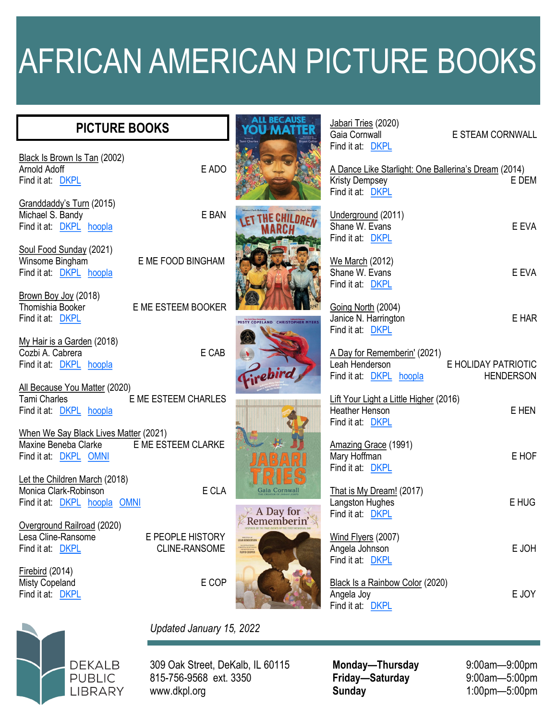## AFRICAN AMERICAN PICTURE BOOKS

| <b>PICTURE BOOKS</b>                                                                                          | ALL BECAUSI                                                                                   | Jabari Tries (2020)<br>Gaia Cornwall                                                                                  | E STEAM CORNWALL                        |
|---------------------------------------------------------------------------------------------------------------|-----------------------------------------------------------------------------------------------|-----------------------------------------------------------------------------------------------------------------------|-----------------------------------------|
| Black Is Brown Is Tan (2002)<br>E ADO<br>Arnold Adoff<br>Find it at: DKPL                                     |                                                                                               | Find it at: DKPL<br>A Dance Like Starlight: One Ballerina's Dream (2014)<br><b>Kristy Dempsey</b><br>Find it at: DKPL | E DEM                                   |
| Granddaddy's Turn (2015)<br>E BAN<br>Michael S. Bandy<br>Find it at: DKPL hoopla                              |                                                                                               | Underground (2011)<br>Shane W. Evans<br>Find it at DKPL                                                               | E EVA                                   |
| Soul Food Sunday (2021)<br>Winsome Bingham<br>E ME FOOD BINGHAM<br>Find it at: <b>DKPL</b> hoopla             |                                                                                               | We March (2012)<br>Shane W. Evans<br>Find it at: DKPL                                                                 | E EVA                                   |
| Brown Boy Joy (2018)<br>E ME ESTEEM BOOKER<br>Thomishia Booker<br>Find it at: DKPL                            | MISTY COPELAND CHRISTOPHER MYERS                                                              | Going North (2004)<br>Janice N. Harrington<br>Find it at: DKPL                                                        | E HAR                                   |
| My Hair is a Garden (2018)<br>E CAB<br>Cozbi A. Cabrera<br>Find it at: DKPL hoopla                            | rebird                                                                                        | A Day for Rememberin' (2021)<br>Leah Henderson<br>Find it at: DKPL hoopla                                             | E HOLIDAY PATRIOTIC<br><b>HENDERSON</b> |
| All Because You Matter (2020)<br><b>Tami Charles</b><br>E ME ESTEEM CHARLES<br>Find it at: <b>DKPL</b> hoopla |                                                                                               | Lift Your Light a Little Higher (2016)<br><b>Heather Henson</b><br>Find it at: DKPL                                   | E HEN                                   |
| When We Say Black Lives Matter (2021)<br>E ME ESTEEM CLARKE<br>Maxine Beneba Clarke<br>Find it at: DKPL OMNI  |                                                                                               | Amazing Grace (1991)<br>Mary Hoffman<br>Find it at: DKPL                                                              | E HOF                                   |
| Let the Children March (2018)<br>E CLA<br>Monica Clark-Robinson<br>Find it at: DKPL hoopla OMNI               | Gaia Cornwall<br>A Day for                                                                    | That is My Dream! (2017)<br>Langston Hughes<br>Find it at: DKPL                                                       | E HUG                                   |
| Overground Railroad (2020)<br>Lesa Cline-Ransome<br>E PEOPLE HISTORY<br>Find it at: DKPL<br>CLINE-RANSOME     | <b>LEAH HENDERSON</b><br>ILLUSTRATED BY<br>COLLETTA ACOTT KIN<br>AWARD WINNER<br>FLOYD COOPER | Wind Flyers (2007)<br>Angela Johnson<br>Find it at DKPL                                                               | E JOH                                   |
| Firebird (2014)<br>E COP<br><b>Misty Copeland</b><br>Find it at: DKPL                                         |                                                                                               | Black Is a Rainbow Color (2020)<br>Angela Joy<br>Find it at: DKPL                                                     | E JOY                                   |



## *Updated January 15, 2022*

309 Oak Street, DeKalb, IL 60115 815-756-9568 ext. 3350 www.dkpl.org

**Monday—Thursday** 9:00am—9:00pm<br> **Friday—Saturday** 9:00am—5:00pm  $Friday$  **Saturday Sunday** 1:00pm—5:00pm